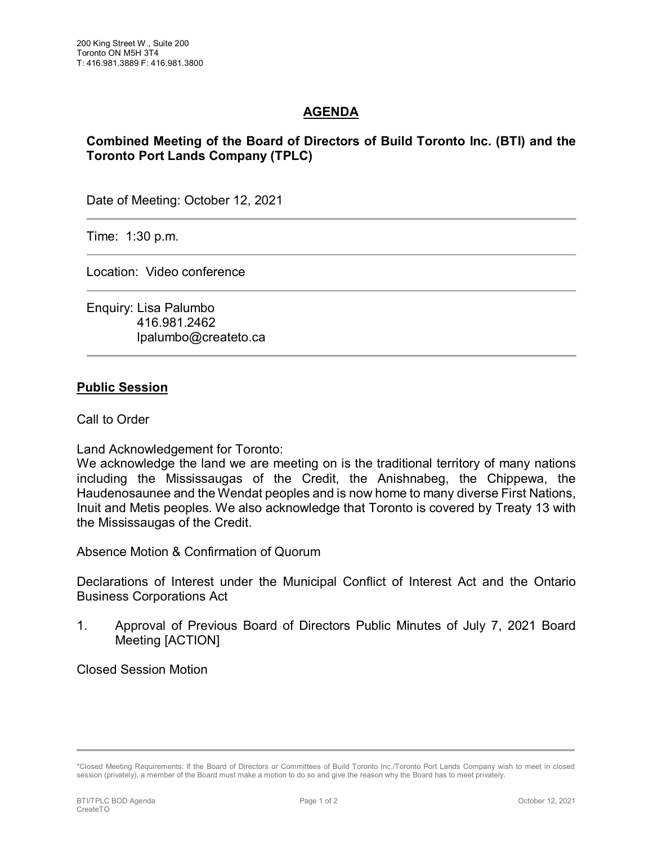## **AGENDA**

## **Combined Meeting of the Board of Directors of Build Toronto Inc. (BTI) and the Toronto Port Lands Company (TPLC)**

Date of Meeting: October 12, 2021

Time: 1:30 p.m.

Location: Video conference

Enquiry: Lisa Palumbo 416.981.2462 lpalumbo@createto.ca

## **Public Session**

Call to Order

Land Acknowledgement for Toronto:

We acknowledge the land we are meeting on is the traditional territory of many nations including the Mississaugas of the Credit, the Anishnabeg, the Chippewa, the Haudenosaunee and the Wendat peoples and is now home to many diverse First Nations, Inuit and Metis peoples. We also acknowledge that Toronto is covered by Treaty 13 with the Mississaugas of the Credit.

Absence Motion & Confirmation of Quorum

Declarations of Interest under the Municipal Conflict of Interest Act and the Ontario Business Corporations Act

1. Approval of Previous Board of Directors Public Minutes of July 7, 2021 Board Meeting [ACTION]

Closed Session Motion

<sup>\*</sup>Closed Meeting Requirements: If the Board of Directors or Committees of Build Toronto Inc./Toronto Port Lands Company wish to meet in closed session (privately), a member of the Board must make a motion to do so and give the reason why the Board has to meet privately.